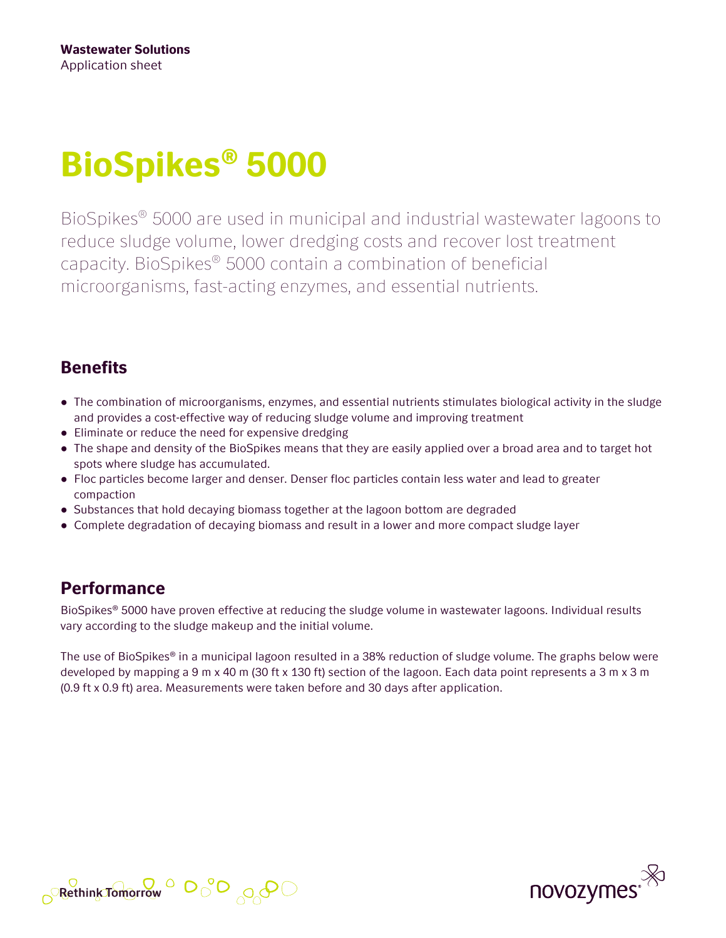# **BioSpikes® 5000**

BioSpikes® 5000 are used in municipal and industrial wastewater lagoons to reduce sludge volume, lower dredging costs and recover lost treatment capacity. BioSpikes® 5000 contain a combination of beneficial microorganisms, fast-acting enzymes, and essential nutrients.

### **Benefits**

- The combination of microorganisms, enzymes, and essential nutrients stimulates biological activity in the sludge and provides a cost-effective way of reducing sludge volume and improving treatment
- Eliminate or reduce the need for expensive dredging
- The shape and density of the BioSpikes means that they are easily applied over a broad area and to target hot spots where sludge has accumulated.
- Floc particles become larger and denser. Denser floc particles contain less water and lead to greater compaction
- Substances that hold decaying biomass together at the lagoon bottom are degraded
- Complete degradation of decaying biomass and result in a lower and more compact sludge layer

## **Performance**

BioSpikes® 5000 have proven effective at reducing the sludge volume in wastewater lagoons. Individual results vary according to the sludge makeup and the initial volume.

The use of BioSpikes® in a municipal lagoon resulted in a 38% reduction of sludge volume. The graphs below were developed by mapping a 9 m x 40 m (30 ft x 130 ft) section of the lagoon. Each data point represents a 3 m x 3 m (0.9 ft x 0.9 ft) area. Measurements were taken before and 30 days after application.



$$
\text{B.23.23}_{\text{B.23.23}}\text{C.23.23}_{\text{B.23.23}}\text{C.23.23}_{\text{B.23.23}}\text{C.23.23}_{\text{C.23.23}}\text{C.23.23}_{\text{D.23.23}}\text{C.23.23}_{\text{D.23.23}}\text{C.23.23}_{\text{E.23.23}}\text{C.23.23}_{\text{E.23.23}}\text{C.23.23}_{\text{E.23.23}}\text{C.23.23}_{\text{E.23.23}}\text{C.23.23}_{\text{E.23.23}}\text{C.23.23}_{\text{E.23.23}}\text{C.23.23}_{\text{E.23.23}}\text{C.23.23}_{\text{E.23.23}}\text{C.23.23}_{\text{E.23.23}}\text{C.23.23}_{\text{E.23.23}}\text{C.23.23}_{\text{E.23.23}}\text{C.23.23}_{\text{E.23.23}}\text{C.23.23}_{\text{E.23.23}}\text{C.23.23}_{\text{E.23.23}}\text{C.23.23}_{\text{E.23.23}}\text{C.23.23}_{\text{E.23.23}}\text{C.23.23}_{\text{E.23.23}}\text{C.23.23}_{\text{E.23.23}}\text{C.23.23}_{\text{E.23.23}}\text{C.23.23}_{\text{E.23.23}}\text{C.23.23}_{\text{E.23.23}}\text{C.23.23}_{\text{E.23.23}}\text{C.23.23}_{\text{E.23.23}}\text{C.23.23}_{\text{E.23.23}}\text{C.23.23}_{\text{E.23.23}}\text{C.23.23}_{\text{E.23.23}}\text{C.23.23}_{\text{E.23.23}}\text{C.23.23}
$$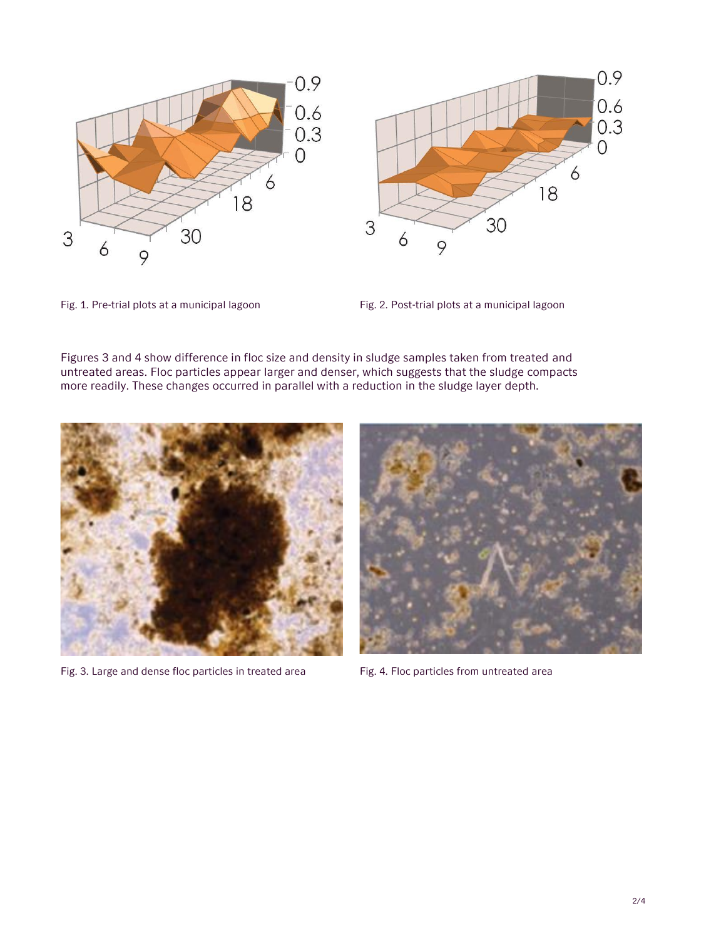





Figures 3 and 4 show difference in floc size and density in sludge samples taken from treated and untreated areas. Floc particles appear larger and denser, which suggests that the sludge compacts more readily. These changes occurred in parallel with a reduction in the sludge layer depth.



Fig. 3. Large and dense floc particles in treated area Fig. 4. Floc particles from untreated area

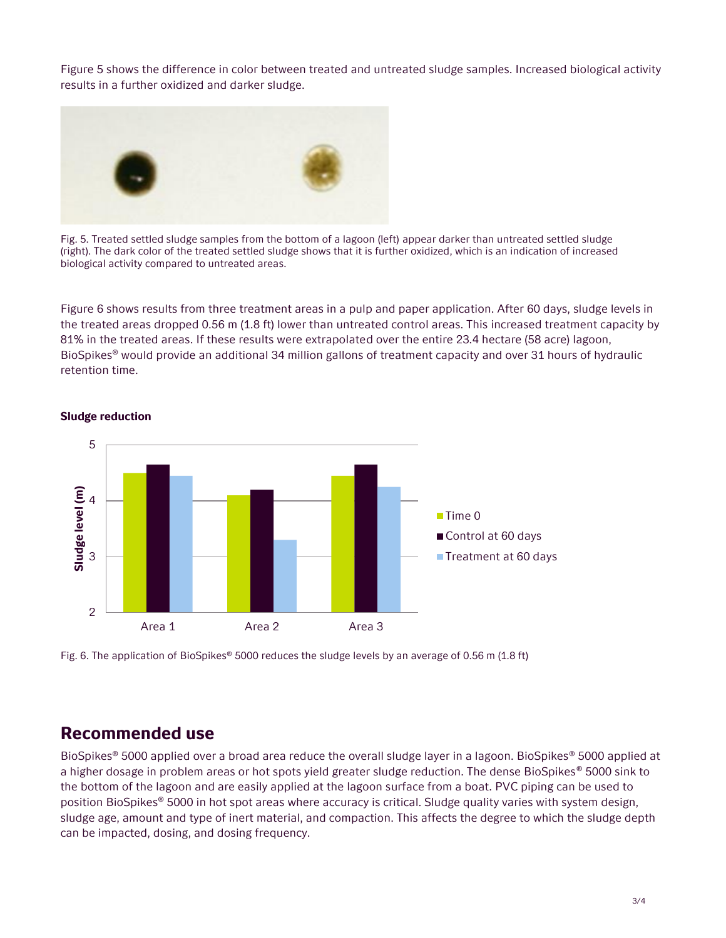Figure 5 shows the difference in color between treated and untreated sludge samples. Increased biological activity results in a further oxidized and darker sludge.



Fig. 5. Treated settled sludge samples from the bottom of a lagoon (left) appear darker than untreated settled sludge (right). The dark color of the treated settled sludge shows that it is further oxidized, which is an indication of increased biological activity compared to untreated areas.

Figure 6 shows results from three treatment areas in a pulp and paper application. After 60 days, sludge levels in the treated areas dropped 0.56 m (1.8 ft) lower than untreated control areas. This increased treatment capacity by 81% in the treated areas. If these results were extrapolated over the entire 23.4 hectare (58 acre) lagoon, BioSpikes® would provide an additional 34 million gallons of treatment capacity and over 31 hours of hydraulic retention time.



#### **Sludge reduction**

Fig. 6. The application of BioSpikes® 5000 reduces the sludge levels by an average of 0.56 m (1.8 ft)

#### **Recommended use**

BioSpikes® 5000 applied over a broad area reduce the overall sludge layer in a lagoon. BioSpikes® 5000 applied at a higher dosage in problem areas or hot spots yield greater sludge reduction. The dense BioSpikes® 5000 sink to the bottom of the lagoon and are easily applied at the lagoon surface from a boat. PVC piping can be used to position BioSpikes® 5000 in hot spot areas where accuracy is critical. Sludge quality varies with system design, sludge age, amount and type of inert material, and compaction. This affects the degree to which the sludge depth can be impacted, dosing, and dosing frequency.